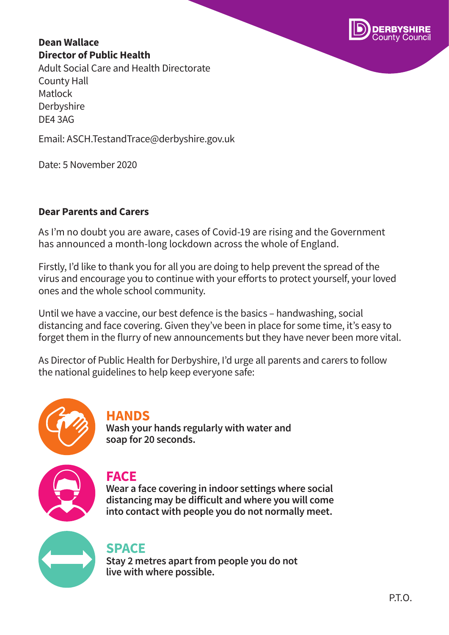

#### **Dean Wallace Director of Public Health**

Adult Social Care and Health Directorate County Hall Matlock Derbyshire DE4 3AG

Email: ASCH.TestandTrace@derbyshire.gov.uk

Date: 5 November 2020

#### **Dear Parents and Carers**

As I'm no doubt you are aware, cases of Covid-19 are rising and the Government has announced a month-long lockdown across the whole of England.

Firstly, I'd like to thank you for all you are doing to help prevent the spread of the virus and encourage you to continue with your efforts to protect yourself, your loved ones and the whole school community.

Until we have a vaccine, our best defence is the basics – handwashing, social distancing and face covering. Given they've been in place for some time, it's easy to forget them in the flurry of new announcements but they have never been more vital.

As Director of Public Health for Derbyshire, I'd urge all parents and carers to follow the national guidelines to help keep everyone safe:



## **HANDS**

**Wash your hands regularly with water and soap for 20 seconds.**



## **FACE**

**Wear a face covering in indoor settings where social distancing may be difficult and where you will come into contact with people you do not normally meet.**



# **SPACE**

**Stay 2 metres apart from people you do not live with where possible.**